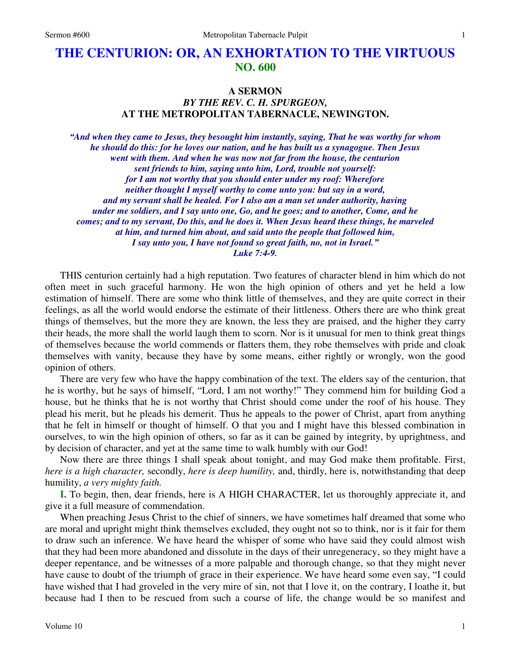# **THE CENTURION: OR, AN EXHORTATION TO THE VIRTUOUS NO. 600**

### **A SERMON**

# *BY THE REV. C. H. SPURGEON,*  **AT THE METROPOLITAN TABERNACLE, NEWINGTON.**

*"And when they came to Jesus, they besought him instantly, saying, That he was worthy for whom he should do this: for he loves our nation, and he has built us a synagogue. Then Jesus went with them. And when he was now not far from the house, the centurion sent friends to him, saying unto him, Lord, trouble not yourself: for I am not worthy that you should enter under my roof: Wherefore neither thought I myself worthy to come unto you: but say in a word, and my servant shall be healed. For I also am a man set under authority, having under me soldiers, and I say unto one, Go, and he goes; and to another, Come, and he comes; and to my servant, Do this, and he does it. When Jesus heard these things, he marveled at him, and turned him about, and said unto the people that followed him, I say unto you, I have not found so great faith, no, not in Israel." Luke 7:4-9.* 

THIS centurion certainly had a high reputation. Two features of character blend in him which do not often meet in such graceful harmony. He won the high opinion of others and yet he held a low estimation of himself. There are some who think little of themselves, and they are quite correct in their feelings, as all the world would endorse the estimate of their littleness. Others there are who think great things of themselves, but the more they are known, the less they are praised, and the higher they carry their heads, the more shall the world laugh them to scorn. Nor is it unusual for men to think great things of themselves because the world commends or flatters them, they robe themselves with pride and cloak themselves with vanity, because they have by some means, either rightly or wrongly, won the good opinion of others.

There are very few who have the happy combination of the text. The elders say of the centurion, that he is worthy, but he says of himself, "Lord, I am not worthy!" They commend him for building God a house, but he thinks that he is not worthy that Christ should come under the roof of his house. They plead his merit, but he pleads his demerit. Thus he appeals to the power of Christ, apart from anything that he felt in himself or thought of himself. O that you and I might have this blessed combination in ourselves, to win the high opinion of others, so far as it can be gained by integrity, by uprightness, and by decision of character, and yet at the same time to walk humbly with our God!

Now there are three things I shall speak about tonight, and may God make them profitable. First, *here is a high character,* secondly, *here is deep humility,* and, thirdly, here is, notwithstanding that deep humility, *a very mighty faith.*

**I.** To begin, then, dear friends, here is A HIGH CHARACTER, let us thoroughly appreciate it, and give it a full measure of commendation.

When preaching Jesus Christ to the chief of sinners, we have sometimes half dreamed that some who are moral and upright might think themselves excluded, they ought not so to think, nor is it fair for them to draw such an inference. We have heard the whisper of some who have said they could almost wish that they had been more abandoned and dissolute in the days of their unregeneracy, so they might have a deeper repentance, and be witnesses of a more palpable and thorough change, so that they might never have cause to doubt of the triumph of grace in their experience. We have heard some even say, "I could have wished that I had groveled in the very mire of sin, not that I love it, on the contrary, I loathe it, but because had I then to be rescued from such a course of life, the change would be so manifest and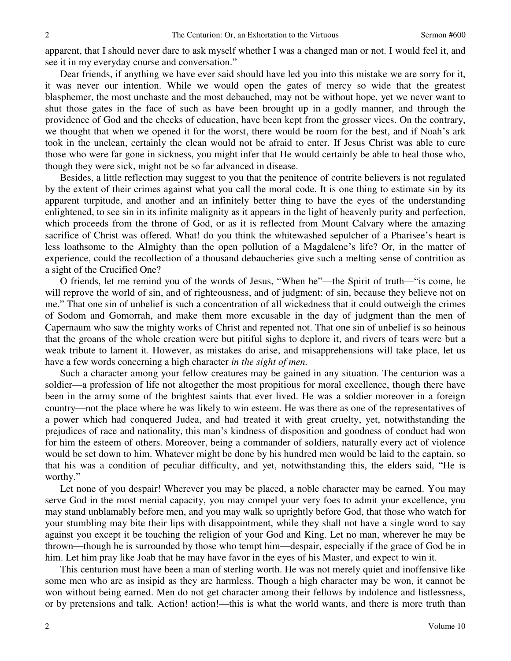apparent, that I should never dare to ask myself whether I was a changed man or not. I would feel it, and see it in my everyday course and conversation."

Dear friends, if anything we have ever said should have led you into this mistake we are sorry for it, it was never our intention. While we would open the gates of mercy so wide that the greatest blasphemer, the most unchaste and the most debauched, may not be without hope, yet we never want to shut those gates in the face of such as have been brought up in a godly manner, and through the providence of God and the checks of education, have been kept from the grosser vices. On the contrary, we thought that when we opened it for the worst, there would be room for the best, and if Noah's ark took in the unclean, certainly the clean would not be afraid to enter. If Jesus Christ was able to cure those who were far gone in sickness, you might infer that He would certainly be able to heal those who, though they were sick, might not be so far advanced in disease.

Besides, a little reflection may suggest to you that the penitence of contrite believers is not regulated by the extent of their crimes against what you call the moral code. It is one thing to estimate sin by its apparent turpitude, and another and an infinitely better thing to have the eyes of the understanding enlightened, to see sin in its infinite malignity as it appears in the light of heavenly purity and perfection, which proceeds from the throne of God, or as it is reflected from Mount Calvary where the amazing sacrifice of Christ was offered. What! do you think the whitewashed sepulcher of a Pharisee's heart is less loathsome to the Almighty than the open pollution of a Magdalene's life? Or, in the matter of experience, could the recollection of a thousand debaucheries give such a melting sense of contrition as a sight of the Crucified One?

O friends, let me remind you of the words of Jesus, "When he"—the Spirit of truth—"is come, he will reprove the world of sin, and of righteousness, and of judgment: of sin, because they believe not on me." That one sin of unbelief is such a concentration of all wickedness that it could outweigh the crimes of Sodom and Gomorrah, and make them more excusable in the day of judgment than the men of Capernaum who saw the mighty works of Christ and repented not. That one sin of unbelief is so heinous that the groans of the whole creation were but pitiful sighs to deplore it, and rivers of tears were but a weak tribute to lament it. However, as mistakes do arise, and misapprehensions will take place, let us have a few words concerning a high character *in the sight of men.*

Such a character among your fellow creatures may be gained in any situation. The centurion was a soldier—a profession of life not altogether the most propitious for moral excellence, though there have been in the army some of the brightest saints that ever lived. He was a soldier moreover in a foreign country—not the place where he was likely to win esteem. He was there as one of the representatives of a power which had conquered Judea, and had treated it with great cruelty, yet, notwithstanding the prejudices of race and nationality, this man's kindness of disposition and goodness of conduct had won for him the esteem of others. Moreover, being a commander of soldiers, naturally every act of violence would be set down to him. Whatever might be done by his hundred men would be laid to the captain, so that his was a condition of peculiar difficulty, and yet, notwithstanding this, the elders said, "He is worthy."

Let none of you despair! Wherever you may be placed, a noble character may be earned. You may serve God in the most menial capacity, you may compel your very foes to admit your excellence, you may stand unblamably before men, and you may walk so uprightly before God, that those who watch for your stumbling may bite their lips with disappointment, while they shall not have a single word to say against you except it be touching the religion of your God and King. Let no man, wherever he may be thrown—though he is surrounded by those who tempt him—despair, especially if the grace of God be in him. Let him pray like Joab that he may have favor in the eyes of his Master, and expect to win it.

This centurion must have been a man of sterling worth. He was not merely quiet and inoffensive like some men who are as insipid as they are harmless. Though a high character may be won, it cannot be won without being earned. Men do not get character among their fellows by indolence and listlessness, or by pretensions and talk. Action! action!—this is what the world wants, and there is more truth than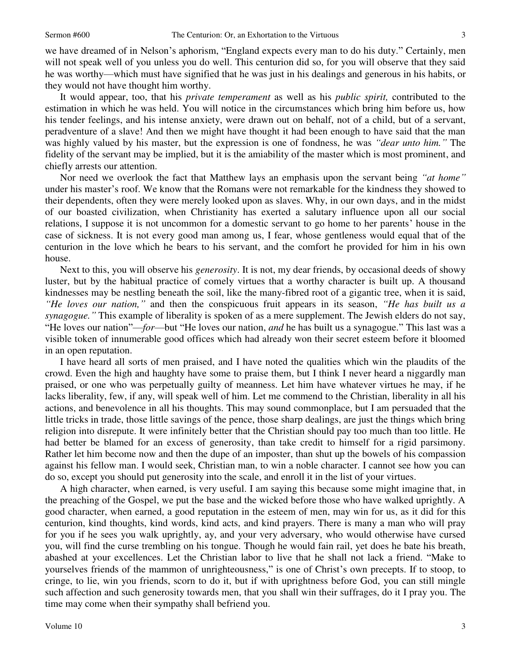we have dreamed of in Nelson's aphorism, "England expects every man to do his duty." Certainly, men will not speak well of you unless you do well. This centurion did so, for you will observe that they said he was worthy—which must have signified that he was just in his dealings and generous in his habits, or they would not have thought him worthy.

It would appear, too, that his *private temperament* as well as his *public spirit,* contributed to the estimation in which he was held. You will notice in the circumstances which bring him before us, how his tender feelings, and his intense anxiety, were drawn out on behalf, not of a child, but of a servant, peradventure of a slave! And then we might have thought it had been enough to have said that the man was highly valued by his master, but the expression is one of fondness, he was *"dear unto him."* The fidelity of the servant may be implied, but it is the amiability of the master which is most prominent, and chiefly arrests our attention.

Nor need we overlook the fact that Matthew lays an emphasis upon the servant being *"at home"* under his master's roof. We know that the Romans were not remarkable for the kindness they showed to their dependents, often they were merely looked upon as slaves. Why, in our own days, and in the midst of our boasted civilization, when Christianity has exerted a salutary influence upon all our social relations, I suppose it is not uncommon for a domestic servant to go home to her parents' house in the case of sickness. It is not every good man among us, I fear, whose gentleness would equal that of the centurion in the love which he bears to his servant, and the comfort he provided for him in his own house.

Next to this, you will observe his *generosity*. It is not, my dear friends, by occasional deeds of showy luster, but by the habitual practice of comely virtues that a worthy character is built up. A thousand kindnesses may be nestling beneath the soil, like the many-fibred root of a gigantic tree, when it is said, *"He loves our nation,"* and then the conspicuous fruit appears in its season, *"He has built us a synagogue."* This example of liberality is spoken of as a mere supplement. The Jewish elders do not say, "He loves our nation"—*for*—but "He loves our nation, *and* he has built us a synagogue." This last was a visible token of innumerable good offices which had already won their secret esteem before it bloomed in an open reputation.

I have heard all sorts of men praised, and I have noted the qualities which win the plaudits of the crowd. Even the high and haughty have some to praise them, but I think I never heard a niggardly man praised, or one who was perpetually guilty of meanness. Let him have whatever virtues he may, if he lacks liberality, few, if any, will speak well of him. Let me commend to the Christian, liberality in all his actions, and benevolence in all his thoughts. This may sound commonplace, but I am persuaded that the little tricks in trade, those little savings of the pence, those sharp dealings, are just the things which bring religion into disrepute. It were infinitely better that the Christian should pay too much than too little. He had better be blamed for an excess of generosity, than take credit to himself for a rigid parsimony. Rather let him become now and then the dupe of an imposter, than shut up the bowels of his compassion against his fellow man. I would seek, Christian man, to win a noble character. I cannot see how you can do so, except you should put generosity into the scale, and enroll it in the list of your virtues.

A high character, when earned, is very useful. I am saying this because some might imagine that, in the preaching of the Gospel, we put the base and the wicked before those who have walked uprightly. A good character, when earned, a good reputation in the esteem of men, may win for us, as it did for this centurion, kind thoughts, kind words, kind acts, and kind prayers. There is many a man who will pray for you if he sees you walk uprightly, ay, and your very adversary, who would otherwise have cursed you, will find the curse trembling on his tongue. Though he would fain rail, yet does he bate his breath, abashed at your excellences. Let the Christian labor to live that he shall not lack a friend. "Make to yourselves friends of the mammon of unrighteousness," is one of Christ's own precepts. If to stoop, to cringe, to lie, win you friends, scorn to do it, but if with uprightness before God, you can still mingle such affection and such generosity towards men, that you shall win their suffrages, do it I pray you. The time may come when their sympathy shall befriend you.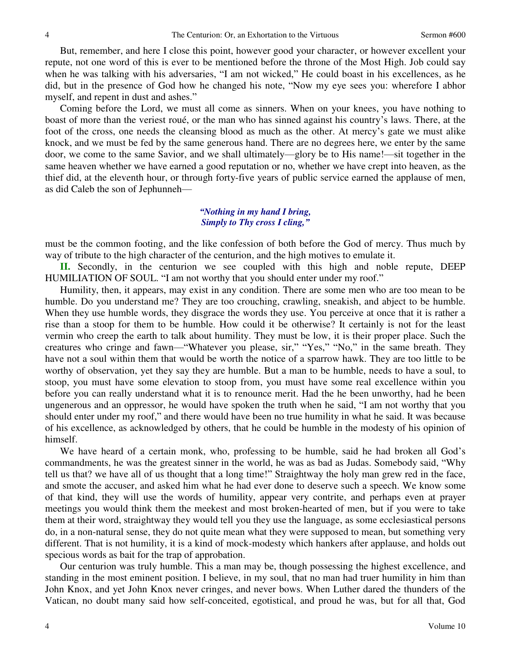But, remember, and here I close this point, however good your character, or however excellent your repute, not one word of this is ever to be mentioned before the throne of the Most High. Job could say when he was talking with his adversaries, "I am not wicked," He could boast in his excellences, as he did, but in the presence of God how he changed his note, "Now my eye sees you: wherefore I abhor myself, and repent in dust and ashes."

Coming before the Lord, we must all come as sinners. When on your knees, you have nothing to boast of more than the veriest roué, or the man who has sinned against his country's laws. There, at the foot of the cross, one needs the cleansing blood as much as the other. At mercy's gate we must alike knock, and we must be fed by the same generous hand. There are no degrees here, we enter by the same door, we come to the same Savior, and we shall ultimately—glory be to His name!—sit together in the same heaven whether we have earned a good reputation or no, whether we have crept into heaven, as the thief did, at the eleventh hour, or through forty-five years of public service earned the applause of men, as did Caleb the son of Jephunneh—

## *"Nothing in my hand I bring, Simply to Thy cross I cling,"*

must be the common footing, and the like confession of both before the God of mercy. Thus much by way of tribute to the high character of the centurion, and the high motives to emulate it.

**II.** Secondly, in the centurion we see coupled with this high and noble repute, DEEP HUMILIATION OF SOUL. "I am not worthy that you should enter under my roof."

Humility, then, it appears, may exist in any condition. There are some men who are too mean to be humble. Do you understand me? They are too crouching, crawling, sneakish, and abject to be humble. When they use humble words, they disgrace the words they use. You perceive at once that it is rather a rise than a stoop for them to be humble. How could it be otherwise? It certainly is not for the least vermin who creep the earth to talk about humility. They must be low, it is their proper place. Such the creatures who cringe and fawn—"Whatever you please, sir," "Yes," "No," in the same breath. They have not a soul within them that would be worth the notice of a sparrow hawk. They are too little to be worthy of observation, yet they say they are humble. But a man to be humble, needs to have a soul, to stoop, you must have some elevation to stoop from, you must have some real excellence within you before you can really understand what it is to renounce merit. Had the he been unworthy, had he been ungenerous and an oppressor, he would have spoken the truth when he said, "I am not worthy that you should enter under my roof," and there would have been no true humility in what he said. It was because of his excellence, as acknowledged by others, that he could be humble in the modesty of his opinion of himself.

We have heard of a certain monk, who, professing to be humble, said he had broken all God's commandments, he was the greatest sinner in the world, he was as bad as Judas. Somebody said, "Why tell us that? we have all of us thought that a long time!" Straightway the holy man grew red in the face, and smote the accuser, and asked him what he had ever done to deserve such a speech. We know some of that kind, they will use the words of humility, appear very contrite, and perhaps even at prayer meetings you would think them the meekest and most broken-hearted of men, but if you were to take them at their word, straightway they would tell you they use the language, as some ecclesiastical persons do, in a non-natural sense, they do not quite mean what they were supposed to mean, but something very different. That is not humility, it is a kind of mock-modesty which hankers after applause, and holds out specious words as bait for the trap of approbation.

Our centurion was truly humble. This a man may be, though possessing the highest excellence, and standing in the most eminent position. I believe, in my soul, that no man had truer humility in him than John Knox, and yet John Knox never cringes, and never bows. When Luther dared the thunders of the Vatican, no doubt many said how self-conceited, egotistical, and proud he was, but for all that, God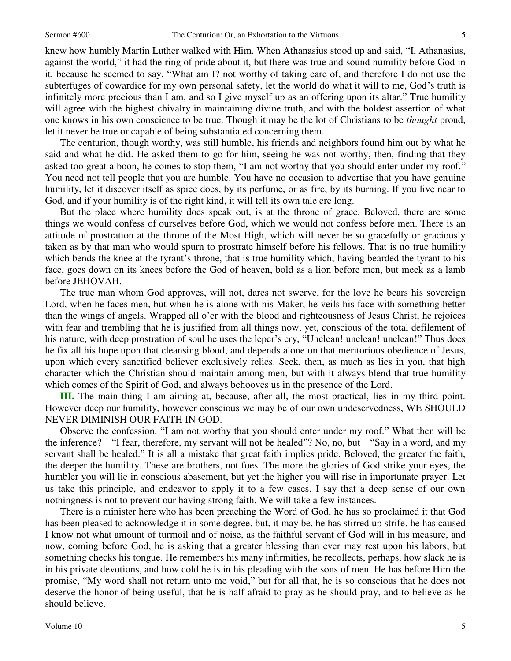knew how humbly Martin Luther walked with Him. When Athanasius stood up and said, "I, Athanasius, against the world," it had the ring of pride about it, but there was true and sound humility before God in it, because he seemed to say, "What am I? not worthy of taking care of, and therefore I do not use the subterfuges of cowardice for my own personal safety, let the world do what it will to me, God's truth is infinitely more precious than I am, and so I give myself up as an offering upon its altar." True humility will agree with the highest chivalry in maintaining divine truth, and with the boldest assertion of what one knows in his own conscience to be true. Though it may be the lot of Christians to be *thought* proud, let it never be true or capable of being substantiated concerning them.

The centurion, though worthy, was still humble, his friends and neighbors found him out by what he said and what he did. He asked them to go for him, seeing he was not worthy, then, finding that they asked too great a boon, he comes to stop them, "I am not worthy that you should enter under my roof." You need not tell people that you are humble. You have no occasion to advertise that you have genuine humility, let it discover itself as spice does, by its perfume, or as fire, by its burning. If you live near to God, and if your humility is of the right kind, it will tell its own tale ere long.

But the place where humility does speak out, is at the throne of grace. Beloved, there are some things we would confess of ourselves before God, which we would not confess before men. There is an attitude of prostration at the throne of the Most High, which will never be so gracefully or graciously taken as by that man who would spurn to prostrate himself before his fellows. That is no true humility which bends the knee at the tyrant's throne, that is true humility which, having bearded the tyrant to his face, goes down on its knees before the God of heaven, bold as a lion before men, but meek as a lamb before JEHOVAH.

The true man whom God approves, will not, dares not swerve, for the love he bears his sovereign Lord, when he faces men, but when he is alone with his Maker, he veils his face with something better than the wings of angels. Wrapped all o'er with the blood and righteousness of Jesus Christ, he rejoices with fear and trembling that he is justified from all things now, yet, conscious of the total defilement of his nature, with deep prostration of soul he uses the leper's cry, "Unclean! unclean! unclean!" Thus does he fix all his hope upon that cleansing blood, and depends alone on that meritorious obedience of Jesus, upon which every sanctified believer exclusively relies. Seek, then, as much as lies in you, that high character which the Christian should maintain among men, but with it always blend that true humility which comes of the Spirit of God, and always behooves us in the presence of the Lord.

**III.** The main thing I am aiming at, because, after all, the most practical, lies in my third point. However deep our humility, however conscious we may be of our own undeservedness, WE SHOULD NEVER DIMINISH OUR FAITH IN GOD.

Observe the confession, "I am not worthy that you should enter under my roof." What then will be the inference?—"I fear, therefore, my servant will not be healed"? No, no, but—"Say in a word, and my servant shall be healed." It is all a mistake that great faith implies pride. Beloved, the greater the faith, the deeper the humility. These are brothers, not foes. The more the glories of God strike your eyes, the humbler you will lie in conscious abasement, but yet the higher you will rise in importunate prayer. Let us take this principle, and endeavor to apply it to a few cases. I say that a deep sense of our own nothingness is not to prevent our having strong faith. We will take a few instances.

There is a minister here who has been preaching the Word of God, he has so proclaimed it that God has been pleased to acknowledge it in some degree, but, it may be, he has stirred up strife, he has caused I know not what amount of turmoil and of noise, as the faithful servant of God will in his measure, and now, coming before God, he is asking that a greater blessing than ever may rest upon his labors, but something checks his tongue. He remembers his many infirmities, he recollects, perhaps, how slack he is in his private devotions, and how cold he is in his pleading with the sons of men. He has before Him the promise, "My word shall not return unto me void," but for all that, he is so conscious that he does not deserve the honor of being useful, that he is half afraid to pray as he should pray, and to believe as he should believe.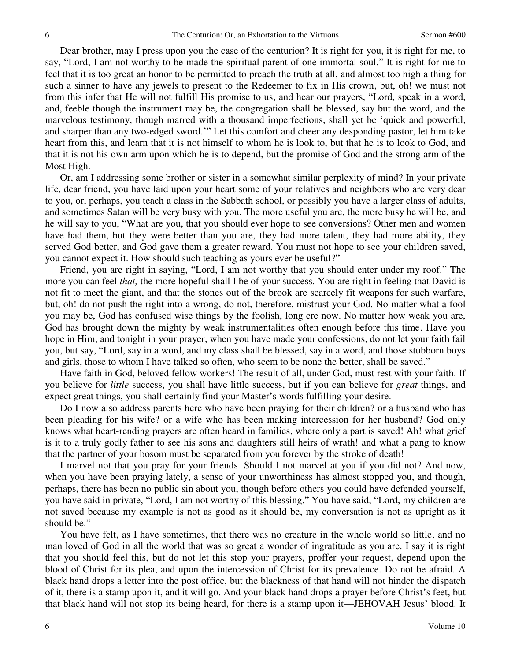Dear brother, may I press upon you the case of the centurion? It is right for you, it is right for me, to say, "Lord, I am not worthy to be made the spiritual parent of one immortal soul." It is right for me to feel that it is too great an honor to be permitted to preach the truth at all, and almost too high a thing for such a sinner to have any jewels to present to the Redeemer to fix in His crown, but, oh! we must not from this infer that He will not fulfill His promise to us, and hear our prayers, "Lord, speak in a word, and, feeble though the instrument may be, the congregation shall be blessed, say but the word, and the marvelous testimony, though marred with a thousand imperfections, shall yet be 'quick and powerful, and sharper than any two-edged sword.'" Let this comfort and cheer any desponding pastor, let him take heart from this, and learn that it is not himself to whom he is look to, but that he is to look to God, and that it is not his own arm upon which he is to depend, but the promise of God and the strong arm of the Most High.

Or, am I addressing some brother or sister in a somewhat similar perplexity of mind? In your private life, dear friend, you have laid upon your heart some of your relatives and neighbors who are very dear to you, or, perhaps, you teach a class in the Sabbath school, or possibly you have a larger class of adults, and sometimes Satan will be very busy with you. The more useful you are, the more busy he will be, and he will say to you, "What are you, that you should ever hope to see conversions? Other men and women have had them, but they were better than you are, they had more talent, they had more ability, they served God better, and God gave them a greater reward. You must not hope to see your children saved, you cannot expect it. How should such teaching as yours ever be useful?"

Friend, you are right in saying, "Lord, I am not worthy that you should enter under my roof." The more you can feel *that,* the more hopeful shall I be of your success. You are right in feeling that David is not fit to meet the giant, and that the stones out of the brook are scarcely fit weapons for such warfare, but, oh! do not push the right into a wrong, do not, therefore, mistrust your God. No matter what a fool you may be, God has confused wise things by the foolish, long ere now. No matter how weak you are, God has brought down the mighty by weak instrumentalities often enough before this time. Have you hope in Him, and tonight in your prayer, when you have made your confessions, do not let your faith fail you, but say, "Lord, say in a word, and my class shall be blessed, say in a word, and those stubborn boys and girls, those to whom I have talked so often, who seem to be none the better, shall be saved."

Have faith in God, beloved fellow workers! The result of all, under God, must rest with your faith. If you believe for *little* success, you shall have little success, but if you can believe for *great* things, and expect great things, you shall certainly find your Master's words fulfilling your desire.

Do I now also address parents here who have been praying for their children? or a husband who has been pleading for his wife? or a wife who has been making intercession for her husband? God only knows what heart-rending prayers are often heard in families, where only a part is saved! Ah! what grief is it to a truly godly father to see his sons and daughters still heirs of wrath! and what a pang to know that the partner of your bosom must be separated from you forever by the stroke of death!

I marvel not that you pray for your friends. Should I not marvel at you if you did not? And now, when you have been praying lately, a sense of your unworthiness has almost stopped you, and though, perhaps, there has been no public sin about you, though before others you could have defended yourself, you have said in private, "Lord, I am not worthy of this blessing." You have said, "Lord, my children are not saved because my example is not as good as it should be, my conversation is not as upright as it should be."

You have felt, as I have sometimes, that there was no creature in the whole world so little, and no man loved of God in all the world that was so great a wonder of ingratitude as you are. I say it is right that you should feel this, but do not let this stop your prayers, proffer your request, depend upon the blood of Christ for its plea, and upon the intercession of Christ for its prevalence. Do not be afraid. A black hand drops a letter into the post office, but the blackness of that hand will not hinder the dispatch of it, there is a stamp upon it, and it will go. And your black hand drops a prayer before Christ's feet, but that black hand will not stop its being heard, for there is a stamp upon it—JEHOVAH Jesus' blood. It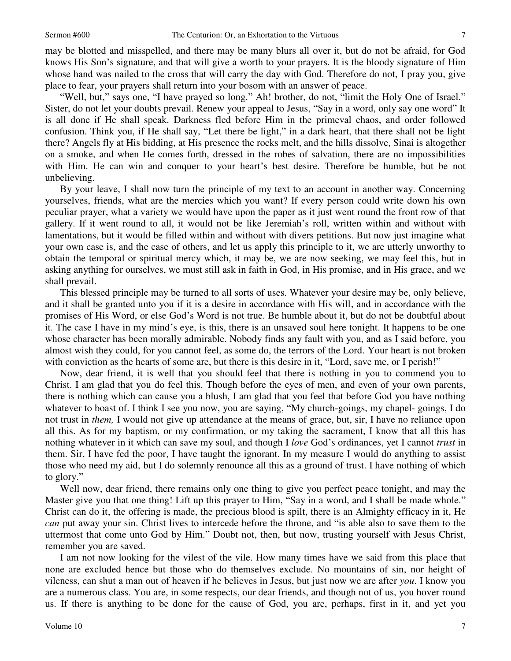may be blotted and misspelled, and there may be many blurs all over it, but do not be afraid, for God knows His Son's signature, and that will give a worth to your prayers. It is the bloody signature of Him whose hand was nailed to the cross that will carry the day with God. Therefore do not, I pray you, give place to fear, your prayers shall return into your bosom with an answer of peace.

"Well, but," says one, "I have prayed so long." Ah! brother, do not, "limit the Holy One of Israel." Sister, do not let your doubts prevail. Renew your appeal to Jesus, "Say in a word, only say one word" It is all done if He shall speak. Darkness fled before Him in the primeval chaos, and order followed confusion. Think you, if He shall say, "Let there be light," in a dark heart, that there shall not be light there? Angels fly at His bidding, at His presence the rocks melt, and the hills dissolve, Sinai is altogether on a smoke, and when He comes forth, dressed in the robes of salvation, there are no impossibilities with Him. He can win and conquer to your heart's best desire. Therefore be humble, but be not unbelieving.

By your leave, I shall now turn the principle of my text to an account in another way. Concerning yourselves, friends, what are the mercies which you want? If every person could write down his own peculiar prayer, what a variety we would have upon the paper as it just went round the front row of that gallery. If it went round to all, it would not be like Jeremiah's roll, written within and without with lamentations, but it would be filled within and without with divers petitions. But now just imagine what your own case is, and the case of others, and let us apply this principle to it, we are utterly unworthy to obtain the temporal or spiritual mercy which, it may be, we are now seeking, we may feel this, but in asking anything for ourselves, we must still ask in faith in God, in His promise, and in His grace, and we shall prevail.

This blessed principle may be turned to all sorts of uses. Whatever your desire may be, only believe, and it shall be granted unto you if it is a desire in accordance with His will, and in accordance with the promises of His Word, or else God's Word is not true. Be humble about it, but do not be doubtful about it. The case I have in my mind's eye, is this, there is an unsaved soul here tonight. It happens to be one whose character has been morally admirable. Nobody finds any fault with you, and as I said before, you almost wish they could, for you cannot feel, as some do, the terrors of the Lord. Your heart is not broken with conviction as the hearts of some are, but there is this desire in it, "Lord, save me, or I perish!"

Now, dear friend, it is well that you should feel that there is nothing in you to commend you to Christ. I am glad that you do feel this. Though before the eyes of men, and even of your own parents, there is nothing which can cause you a blush, I am glad that you feel that before God you have nothing whatever to boast of. I think I see you now, you are saying, "My church-goings, my chapel- goings, I do not trust in *them,* I would not give up attendance at the means of grace, but, sir, I have no reliance upon all this. As for my baptism, or my confirmation, or my taking the sacrament, I know that all this has nothing whatever in it which can save my soul, and though I *love* God's ordinances, yet I cannot *trust* in them. Sir, I have fed the poor, I have taught the ignorant. In my measure I would do anything to assist those who need my aid, but I do solemnly renounce all this as a ground of trust. I have nothing of which to glory."

Well now, dear friend, there remains only one thing to give you perfect peace tonight, and may the Master give you that one thing! Lift up this prayer to Him, "Say in a word, and I shall be made whole." Christ can do it, the offering is made, the precious blood is spilt, there is an Almighty efficacy in it, He *can* put away your sin. Christ lives to intercede before the throne, and "is able also to save them to the uttermost that come unto God by Him." Doubt not, then, but now, trusting yourself with Jesus Christ, remember you are saved.

I am not now looking for the vilest of the vile. How many times have we said from this place that none are excluded hence but those who do themselves exclude. No mountains of sin, nor height of vileness, can shut a man out of heaven if he believes in Jesus, but just now we are after *you*. I know you are a numerous class. You are, in some respects, our dear friends, and though not of us, you hover round us. If there is anything to be done for the cause of God, you are, perhaps, first in it, and yet you